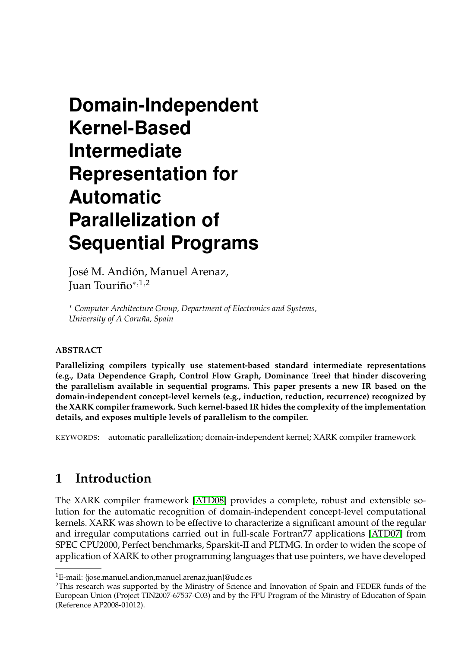# **Domain-Independent Kernel-Based Intermediate Representation for Automatic Parallelization of Sequential Programs**

José M. Andión, Manuel Arenaz, Juan Touriño<sup>∗</sup>,1,<sup>2</sup>

<sup>∗</sup> *Computer Architecture Group, Department of Electronics and Systems, University of A Coruña, Spain*

#### **ABSTRACT**

**Parallelizing compilers typically use statement-based standard intermediate representations (e.g., Data Dependence Graph, Control Flow Graph, Dominance Tree) that hinder discovering the parallelism available in sequential programs. This paper presents a new IR based on the domain-independent concept-level kernels (e.g., induction, reduction, recurrence) recognized by the XARK compiler framework. Such kernel-based IR hides the complexity of the implementation details, and exposes multiple levels of parallelism to the compiler.**

KEYWORDS: automatic parallelization; domain-independent kernel; XARK compiler framework

## **1 Introduction**

The XARK compiler framework [\[ATD08\]](#page-3-0) provides a complete, robust and extensible solution for the automatic recognition of domain-independent concept-level computational kernels. XARK was shown to be effective to characterize a significant amount of the regular and irregular computations carried out in full-scale Fortran77 applications [\[ATD07\]](#page-3-1) from SPEC CPU2000, Perfect benchmarks, Sparskit-II and PLTMG. In order to widen the scope of application of XARK to other programming languages that use pointers, we have developed

<sup>&</sup>lt;sup>1</sup>E-mail: {jose.manuel.andion,manuel.arenaz,juan}@udc.es

<sup>&</sup>lt;sup>2</sup>This research was supported by the Ministry of Science and Innovation of Spain and FEDER funds of the European Union (Project TIN2007-67537-C03) and by the FPU Program of the Ministry of Education of Spain (Reference AP2008-01012).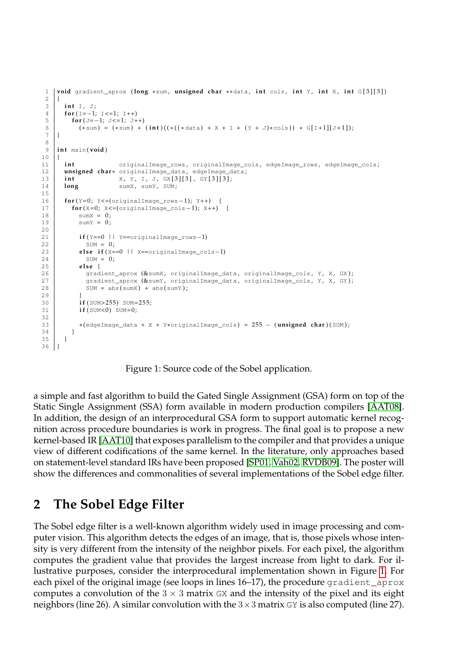```
1 void gradient_aprox (long ∗sum, unsigned char **data, int cols, int Y, int X, int G[3][3])
 \frac{2}{3}\begin{array}{c|c} 3 & \text{int } \mathbb{I}, \mathbb{J}; \\ 4 & \text{for } (\mathbb{I}=-1); \end{array}4 for (I=-1; I <= 1; I ++)<br>for (J=-1; J <= 1; J +
         for (J=-1; J<=1; J++)6 (*sum) = (*sum) + (int)((*((*data) + X + I + (Y + J)*cols)) * G[I+1][J+1]);
 7 }
 8
9 int main(void)
\begin{array}{c|c} 10 \\ 11 \end{array} {
       int originalImage_rows, originalImage_cols, edgeImage_rows, edgeImage_cols;
12 unsigned char∗ originalImage_data , edgeImage_data ;
13 | int X, Y, I, J, GX [3] [3], GY [3] [3];
14 long sumX, sumY, SUM;
15
16 for (Y=0; Y < = (originalImage_rows - 1); Y + +) {
17 for (X=0; X <= (originalImage_cols-1); X + +) {
18 \begin{cases}\n 18 \\
 19\n \end{cases} sum X = 0;
            sumY = 0 :
2021 i f (Y==0 || Y==originalImage_rows−1)
22 SUM = 0;
23 else if (X==0 || X==originalImage_cols-1)<br>24 SUM = 0:
24 SUM = 0;<br>25 else {
25 else {<br>26 else {
26 gradient_aprox (& sumX, originalImage_data, originalImage_cols, Y, X, GX);<br>27 caradient aprox (& sumY, originalImage data, originalImage cols, Y, X, GY);
              qradient_aprox (\&sumY, originalImage_data, originalImage_cols, Y, X, GY);
28 SUM = abs(sumX) + abs(sumY);
\frac{29}{30}if (SUM>255) SUM=255;
31 if (SUM<0) SUM=0;
32<br>33
            33 ∗(edgeImage_data + X + Y∗originalImage_cols) = 255 − ( unsigned char ) ( SUM ) ;
34 }
35 }
36 | }
```
<span id="page-1-0"></span>Figure 1: Source code of the Sobel application.

a simple and fast algorithm to build the Gated Single Assignment (GSA) form on top of the Static Single Assignment (SSA) form available in modern production compilers [\[AAT08\]](#page-3-2). In addition, the design of an interprocedural GSA form to support automatic kernel recognition across procedure boundaries is work in progress. The final goal is to propose a new kernel-based IR [\[AAT10\]](#page-3-3) that exposes parallelism to the compiler and that provides a unique view of different codifications of the same kernel. In the literature, only approaches based on statement-level standard IRs have been proposed [\[SP01,](#page-3-4) [Vah02,](#page-3-5) [RVDB09\]](#page-3-6). The poster will show the differences and commonalities of several implementations of the Sobel edge filter.

# **2 The Sobel Edge Filter**

The Sobel edge filter is a well-known algorithm widely used in image processing and computer vision. This algorithm detects the edges of an image, that is, those pixels whose intensity is very different from the intensity of the neighbor pixels. For each pixel, the algorithm computes the gradient value that provides the largest increase from light to dark. For illustrative purposes, consider the interprocedural implementation shown in Figure [1.](#page-1-0) For each pixel of the original image (see loops in lines 16–17), the procedure gradient\_aprox computes a convolution of the  $3 \times 3$  matrix GX and the intensity of the pixel and its eight neighbors (line 26). A similar convolution with the  $3 \times 3$  matrix GY is also computed (line 27).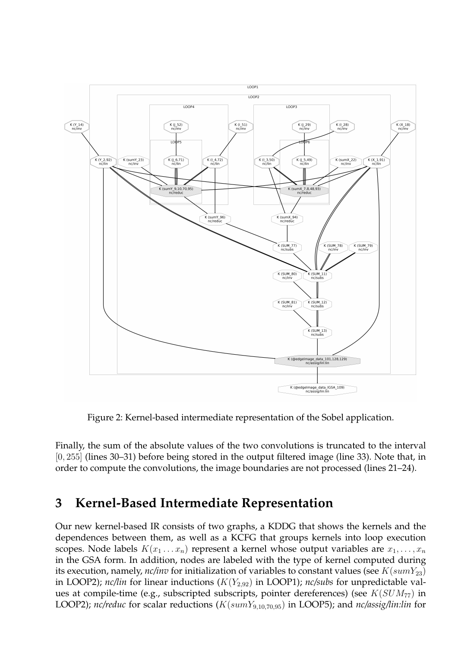

<span id="page-2-0"></span>Figure 2: Kernel-based intermediate representation of the Sobel application.

Finally, the sum of the absolute values of the two convolutions is truncated to the interval [0, 255] (lines 30–31) before being stored in the output filtered image (line 33). Note that, in order to compute the convolutions, the image boundaries are not processed (lines 21–24).

#### **3 Kernel-Based Intermediate Representation**

Our new kernel-based IR consists of two graphs, a KDDG that shows the kernels and the dependences between them, as well as a KCFG that groups kernels into loop execution scopes. Node labels  $K(x_1 \ldots x_n)$  represent a kernel whose output variables are  $x_1, \ldots, x_n$ in the GSA form. In addition, nodes are labeled with the type of kernel computed during its execution, namely, *nc/inv* for initialization of variables to constant values (see  $K(sumY_{23})$ in LOOP2); *nc/lin* for linear inductions  $(K(Y_{2,92})$  in LOOP1); *nc/subs* for unpredictable values at compile-time (e.g., subscripted subscripts, pointer dereferences) (see  $K(SUM_{77})$  in LOOP2); *nc/reduc* for scalar reductions ( $K(sumY_{9,10,70,95})$  in LOOP5); and *nc/assig/lin:lin* for